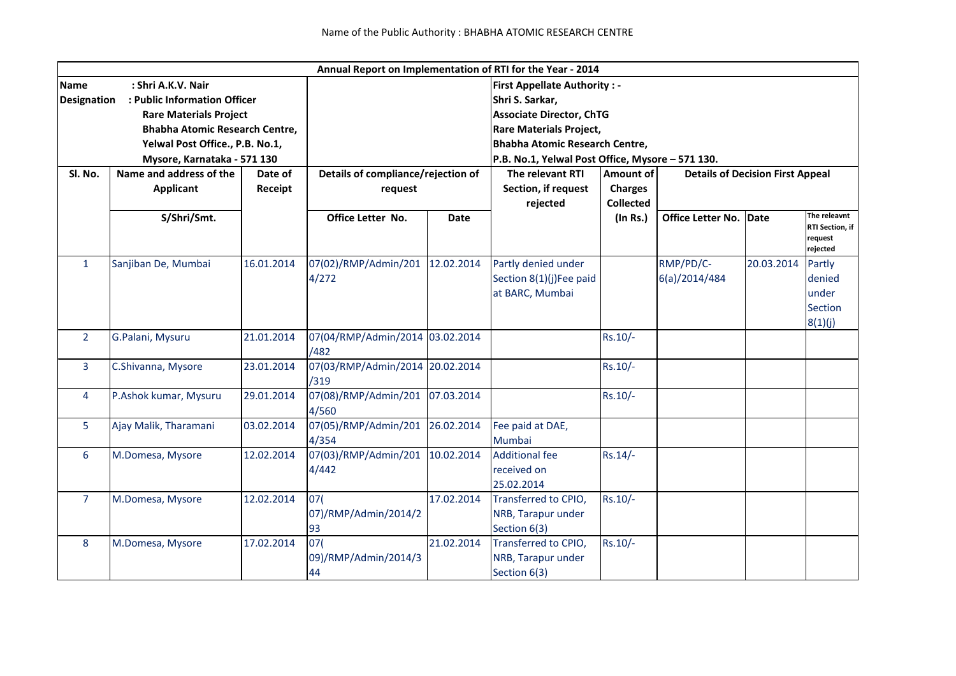|                                               |                                       |                                    |                                 |                                                  | Annual Report on Implementation of RTI for the Year - 2014  |                  |                          |            |                                   |  |  |
|-----------------------------------------------|---------------------------------------|------------------------------------|---------------------------------|--------------------------------------------------|-------------------------------------------------------------|------------------|--------------------------|------------|-----------------------------------|--|--|
| <b>Name</b>                                   | : Shri A.K.V. Nair                    |                                    |                                 | <b>First Appellate Authority: -</b>              |                                                             |                  |                          |            |                                   |  |  |
| <b>Designation</b>                            | : Public Information Officer          |                                    | Shri S. Sarkar,                 |                                                  |                                                             |                  |                          |            |                                   |  |  |
|                                               | <b>Rare Materials Project</b>         |                                    |                                 |                                                  | <b>Associate Director, ChTG</b>                             |                  |                          |            |                                   |  |  |
|                                               | <b>Bhabha Atomic Research Centre,</b> |                                    |                                 |                                                  | <b>Rare Materials Project,</b>                              |                  |                          |            |                                   |  |  |
|                                               | Yelwal Post Office., P.B. No.1,       |                                    |                                 |                                                  | <b>Bhabha Atomic Research Centre,</b>                       |                  |                          |            |                                   |  |  |
| Mysore, Karnataka - 571 130                   |                                       |                                    |                                 | P.B. No.1, Yelwal Post Office, Mysore - 571 130. |                                                             |                  |                          |            |                                   |  |  |
| Name and address of the<br>SI. No.<br>Date of |                                       | Details of compliance/rejection of |                                 | The relevant RTI                                 | <b>Amount of</b><br><b>Details of Decision First Appeal</b> |                  |                          |            |                                   |  |  |
|                                               | <b>Applicant</b>                      | Receipt                            | request                         |                                                  | Section, if request                                         | <b>Charges</b>   |                          |            |                                   |  |  |
|                                               |                                       |                                    |                                 |                                                  | rejected                                                    | <b>Collected</b> |                          |            |                                   |  |  |
|                                               | S/Shri/Smt.                           |                                    | Office Letter No.               | <b>Date</b>                                      |                                                             | (In Rs.)         | <b>Office Letter No.</b> | Date       | The releavnt                      |  |  |
|                                               |                                       |                                    |                                 |                                                  |                                                             |                  |                          |            | <b>RTI Section, if</b><br>request |  |  |
|                                               |                                       |                                    |                                 |                                                  |                                                             |                  |                          |            | rejected                          |  |  |
| $\mathbf{1}$                                  | Sanjiban De, Mumbai                   | 16.01.2014                         | 07(02)/RMP/Admin/201            | 12.02.2014                                       | Partly denied under                                         |                  | RMP/PD/C-                | 20.03.2014 | Partly                            |  |  |
|                                               |                                       |                                    | 4/272                           |                                                  | Section 8(1)(j)Fee paid                                     |                  | 6(a)/2014/484            |            | denied                            |  |  |
|                                               |                                       |                                    |                                 |                                                  | at BARC, Mumbai                                             |                  |                          |            | under                             |  |  |
|                                               |                                       |                                    |                                 |                                                  |                                                             |                  |                          |            | <b>Section</b>                    |  |  |
|                                               |                                       |                                    |                                 |                                                  |                                                             |                  |                          |            | 8(1)(j)                           |  |  |
| $\overline{2}$                                | G.Palani, Mysuru                      | 21.01.2014                         | 07(04/RMP/Admin/2014 03.02.2014 |                                                  |                                                             | Rs.10/-          |                          |            |                                   |  |  |
|                                               |                                       |                                    | /482                            |                                                  |                                                             |                  |                          |            |                                   |  |  |
| $\overline{3}$                                | C.Shivanna, Mysore                    | 23.01.2014                         | 07(03/RMP/Admin/2014 20.02.2014 |                                                  |                                                             | $Rs.10/-$        |                          |            |                                   |  |  |
|                                               |                                       |                                    | /319                            |                                                  |                                                             |                  |                          |            |                                   |  |  |
| 4                                             | P.Ashok kumar, Mysuru                 | 29.01.2014                         | 07(08)/RMP/Admin/201            | 07.03.2014                                       |                                                             | Rs.10/-          |                          |            |                                   |  |  |
|                                               |                                       |                                    | 4/560                           |                                                  |                                                             |                  |                          |            |                                   |  |  |
| 5                                             | Ajay Malik, Tharamani                 | 03.02.2014                         | 07(05)/RMP/Admin/201            | 26.02.2014                                       | Fee paid at DAE,                                            |                  |                          |            |                                   |  |  |
|                                               |                                       |                                    | 4/354                           |                                                  | Mumbai                                                      |                  |                          |            |                                   |  |  |
| 6                                             | M.Domesa, Mysore                      | 12.02.2014                         | 07(03)/RMP/Admin/201            | 10.02.2014                                       | <b>Additional fee</b>                                       | $Rs.14/-$        |                          |            |                                   |  |  |
|                                               |                                       |                                    | 4/442                           |                                                  | received on                                                 |                  |                          |            |                                   |  |  |
|                                               |                                       |                                    |                                 |                                                  | 25.02.2014                                                  |                  |                          |            |                                   |  |  |
| $\overline{7}$                                | M.Domesa, Mysore                      | 12.02.2014                         | 07(                             | 17.02.2014                                       | Transferred to CPIO,                                        | $Rs.10/-$        |                          |            |                                   |  |  |
|                                               |                                       |                                    | 07)/RMP/Admin/2014/2            |                                                  | NRB, Tarapur under                                          |                  |                          |            |                                   |  |  |
|                                               |                                       |                                    | 93                              |                                                  | Section 6(3)                                                |                  |                          |            |                                   |  |  |
| 8                                             | M.Domesa, Mysore                      | 17.02.2014                         | 07(                             | 21.02.2014                                       | Transferred to CPIO,                                        | $Rs.10/-$        |                          |            |                                   |  |  |
|                                               |                                       |                                    | 09)/RMP/Admin/2014/3            |                                                  | NRB, Tarapur under                                          |                  |                          |            |                                   |  |  |
|                                               |                                       |                                    | 44                              |                                                  | Section 6(3)                                                |                  |                          |            |                                   |  |  |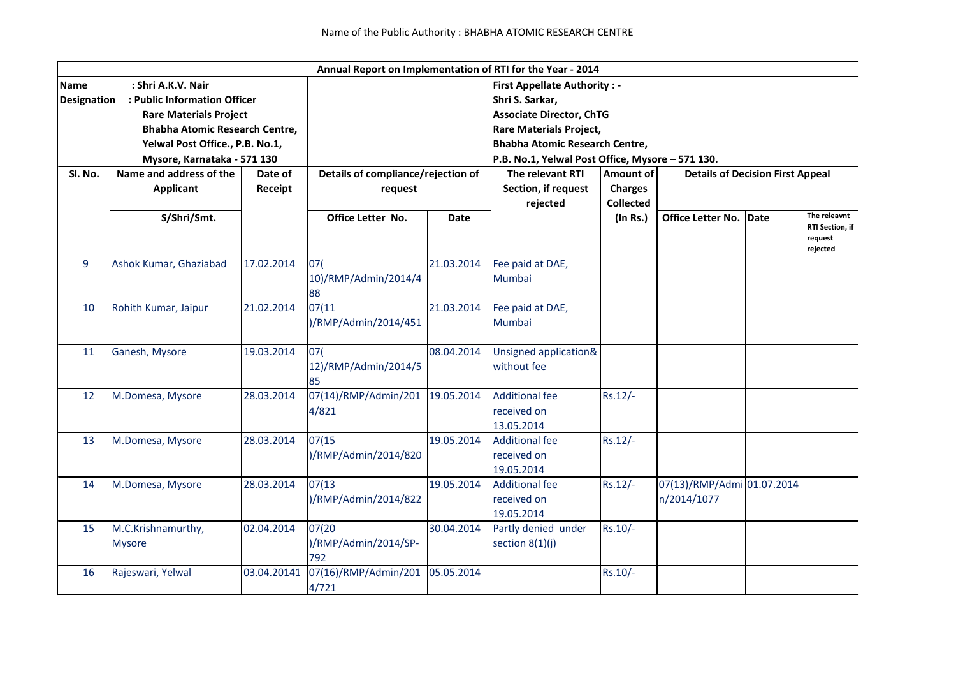|                                                                                                                                                                                                                                     |                                             |                    |                                               |            | Annual Report on Implementation of RTI for the Year - 2014                                                                                                                                                               |                                                 |                                           |      |                                                        |
|-------------------------------------------------------------------------------------------------------------------------------------------------------------------------------------------------------------------------------------|---------------------------------------------|--------------------|-----------------------------------------------|------------|--------------------------------------------------------------------------------------------------------------------------------------------------------------------------------------------------------------------------|-------------------------------------------------|-------------------------------------------|------|--------------------------------------------------------|
| <b>Name</b><br>: Shri A.K.V. Nair<br><b>Designation</b><br>: Public Information Officer<br><b>Rare Materials Project</b><br><b>Bhabha Atomic Research Centre,</b><br>Yelwal Post Office., P.B. No.1,<br>Mysore, Karnataka - 571 130 |                                             |                    |                                               |            | <b>First Appellate Authority: -</b><br>Shri S. Sarkar,<br><b>Associate Director, ChTG</b><br><b>Rare Materials Project,</b><br><b>Bhabha Atomic Research Centre,</b><br>P.B. No.1, Yelwal Post Office, Mysore - 571 130. |                                                 |                                           |      |                                                        |
| SI. No.                                                                                                                                                                                                                             | Name and address of the<br><b>Applicant</b> | Date of<br>Receipt | Details of compliance/rejection of<br>request |            | The relevant RTI<br>Section, if request<br>rejected                                                                                                                                                                      | Amount of<br><b>Charges</b><br><b>Collected</b> | <b>Details of Decision First Appeal</b>   |      |                                                        |
|                                                                                                                                                                                                                                     | S/Shri/Smt.                                 |                    | Office Letter No.                             | Date       |                                                                                                                                                                                                                          | $($ In Rs. $)$                                  | <b>Office Letter No.</b>                  | Date | The releavnt<br>RTI Section, if<br>request<br>rejected |
| 9                                                                                                                                                                                                                                   | Ashok Kumar, Ghaziabad                      | 17.02.2014         | 07(<br>10)/RMP/Admin/2014/4<br>88             | 21.03.2014 | Fee paid at DAE,<br>Mumbai                                                                                                                                                                                               |                                                 |                                           |      |                                                        |
| 10                                                                                                                                                                                                                                  | Rohith Kumar, Jaipur                        | 21.02.2014         | 07(11<br>)/RMP/Admin/2014/451                 | 21.03.2014 | Fee paid at DAE,<br>Mumbai                                                                                                                                                                                               |                                                 |                                           |      |                                                        |
| 11                                                                                                                                                                                                                                  | Ganesh, Mysore                              | 19.03.2014         | 07(<br>12)/RMP/Admin/2014/5<br>85             | 08.04.2014 | Unsigned application&<br>without fee                                                                                                                                                                                     |                                                 |                                           |      |                                                        |
| 12                                                                                                                                                                                                                                  | M.Domesa, Mysore                            | 28.03.2014         | 07(14)/RMP/Admin/201<br>4/821                 | 19.05.2014 | <b>Additional fee</b><br>received on<br>13.05.2014                                                                                                                                                                       | $Rs.12/-$                                       |                                           |      |                                                        |
| 13                                                                                                                                                                                                                                  | M.Domesa, Mysore                            | 28.03.2014         | 07(15<br>)/RMP/Admin/2014/820                 | 19.05.2014 | <b>Additional fee</b><br>received on<br>19.05.2014                                                                                                                                                                       | $Rs.12/-$                                       |                                           |      |                                                        |
| 14                                                                                                                                                                                                                                  | M.Domesa, Mysore                            | 28.03.2014         | 07(13)<br>)/RMP/Admin/2014/822                | 19.05.2014 | <b>Additional fee</b><br>received on<br>19.05.2014                                                                                                                                                                       | $Rs.12/-$                                       | 07(13)/RMP/Admi 01.07.2014<br>n/2014/1077 |      |                                                        |
| 15                                                                                                                                                                                                                                  | M.C.Krishnamurthy,<br><b>Mysore</b>         | 02.04.2014         | 07(20<br>)/RMP/Admin/2014/SP-<br>792          | 30.04.2014 | Partly denied under<br>section $8(1)(j)$                                                                                                                                                                                 | $Rs.10/-$                                       |                                           |      |                                                        |
| 16                                                                                                                                                                                                                                  | Rajeswari, Yelwal                           | 03.04.20141        | 07(16)/RMP/Admin/201<br>4/721                 | 05.05.2014 |                                                                                                                                                                                                                          | Rs.10/-                                         |                                           |      |                                                        |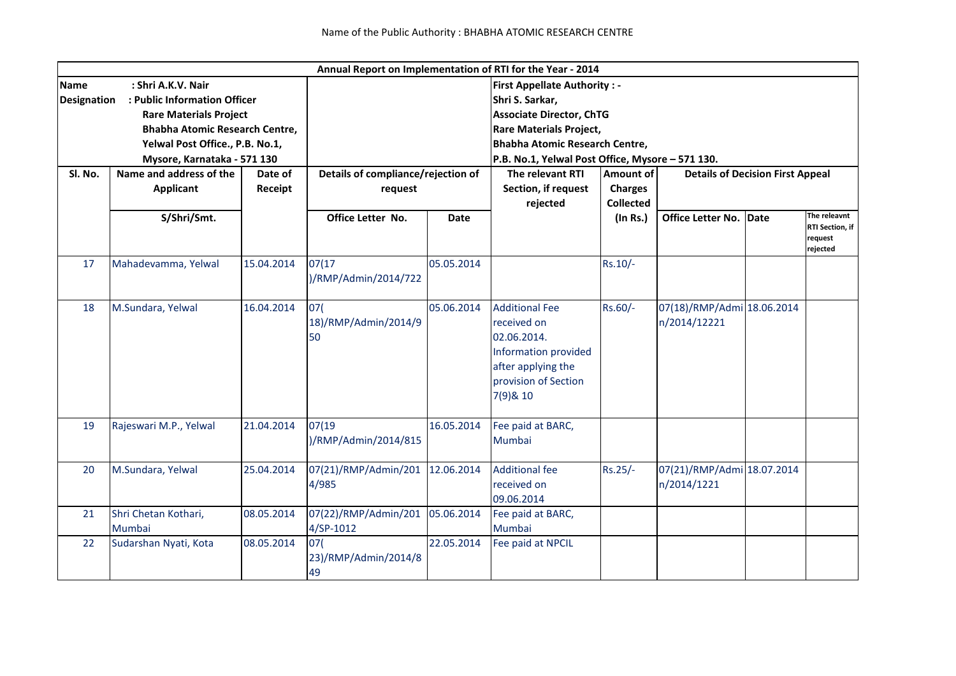|                    |                                       |            |                                    |             | Annual Report on Implementation of RTI for the Year - 2014                                                                            |                                                             |                                            |      |                                                        |  |
|--------------------|---------------------------------------|------------|------------------------------------|-------------|---------------------------------------------------------------------------------------------------------------------------------------|-------------------------------------------------------------|--------------------------------------------|------|--------------------------------------------------------|--|
| <b>Name</b>        | : Shri A.K.V. Nair                    |            |                                    |             | <b>First Appellate Authority: -</b>                                                                                                   |                                                             |                                            |      |                                                        |  |
| <b>Designation</b> | : Public Information Officer          |            |                                    |             | Shri S. Sarkar,                                                                                                                       |                                                             |                                            |      |                                                        |  |
|                    | <b>Rare Materials Project</b>         |            |                                    |             | <b>Associate Director, ChTG</b>                                                                                                       |                                                             |                                            |      |                                                        |  |
|                    | <b>Bhabha Atomic Research Centre,</b> |            |                                    |             |                                                                                                                                       | <b>Rare Materials Project,</b>                              |                                            |      |                                                        |  |
|                    | Yelwal Post Office., P.B. No.1,       |            |                                    |             | <b>Bhabha Atomic Research Centre,</b>                                                                                                 |                                                             |                                            |      |                                                        |  |
|                    | Mysore, Karnataka - 571 130           |            |                                    |             | P.B. No.1, Yelwal Post Office, Mysore - 571 130.                                                                                      |                                                             |                                            |      |                                                        |  |
| SI. No.            | Name and address of the<br>Date of    |            | Details of compliance/rejection of |             | The relevant RTI                                                                                                                      | <b>Amount of</b><br><b>Details of Decision First Appeal</b> |                                            |      |                                                        |  |
|                    | <b>Applicant</b>                      | Receipt    | request                            |             | Section, if request                                                                                                                   | <b>Charges</b>                                              |                                            |      |                                                        |  |
|                    |                                       |            |                                    |             | rejected                                                                                                                              | <b>Collected</b>                                            |                                            |      |                                                        |  |
|                    | S/Shri/Smt.                           |            | Office Letter No.                  | <b>Date</b> |                                                                                                                                       | $($ In Rs. $)$                                              | Office Letter No.                          | Date | The releavnt<br>RTI Section, if<br>request<br>rejected |  |
| 17                 | Mahadevamma, Yelwal                   | 15.04.2014 | 07(17<br>)/RMP/Admin/2014/722      | 05.05.2014  |                                                                                                                                       | $Rs.10/-$                                                   |                                            |      |                                                        |  |
| 18                 | M.Sundara, Yelwal                     | 16.04.2014 | 07(<br>18)/RMP/Admin/2014/9<br>50  | 05.06.2014  | <b>Additional Fee</b><br>received on<br>02.06.2014.<br>Information provided<br>after applying the<br>provision of Section<br>7(9)& 10 | Rs.60/-                                                     | 07(18)/RMP/Admi 18.06.2014<br>n/2014/12221 |      |                                                        |  |
| 19                 | Rajeswari M.P., Yelwal                | 21.04.2014 | 07(19)<br>)/RMP/Admin/2014/815     | 16.05.2014  | Fee paid at BARC,<br>Mumbai                                                                                                           |                                                             |                                            |      |                                                        |  |
| 20                 | M.Sundara, Yelwal                     | 25.04.2014 | 07(21)/RMP/Admin/201<br>4/985      | 12.06.2014  | <b>Additional fee</b><br>received on<br>09.06.2014                                                                                    | Rs.25/-                                                     | 07(21)/RMP/Admi 18.07.2014<br>n/2014/1221  |      |                                                        |  |
| 21                 | Shri Chetan Kothari,<br>Mumbai        | 08.05.2014 | 07(22)/RMP/Admin/201<br>4/SP-1012  | 05.06.2014  | Fee paid at BARC,<br>Mumbai                                                                                                           |                                                             |                                            |      |                                                        |  |
| 22                 | Sudarshan Nyati, Kota                 | 08.05.2014 | 07(<br>23)/RMP/Admin/2014/8<br>49  | 22.05.2014  | Fee paid at NPCIL                                                                                                                     |                                                             |                                            |      |                                                        |  |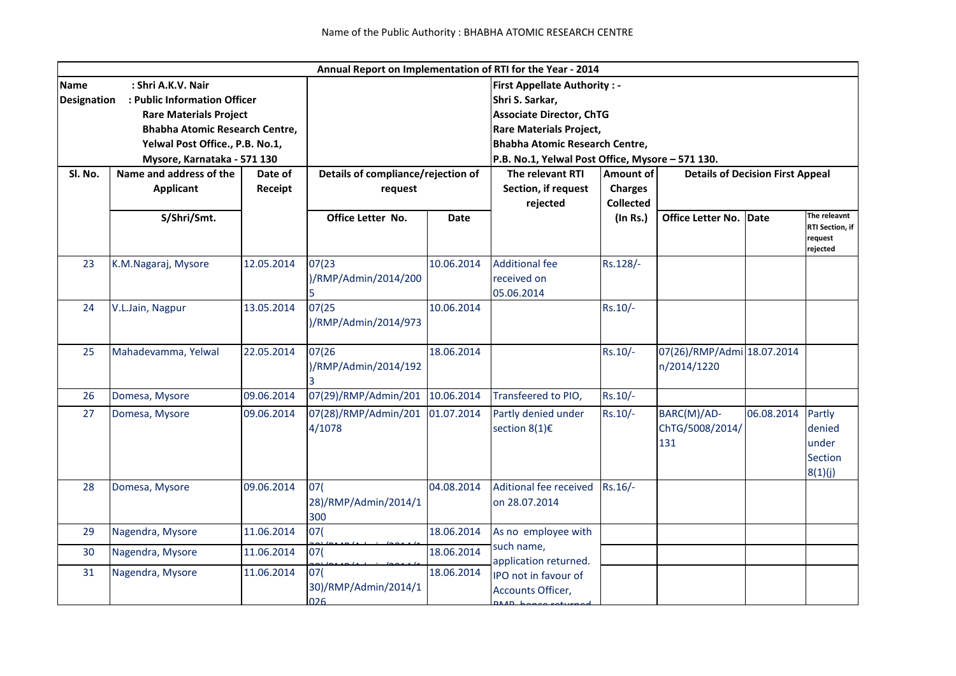|                    |                                       |                                                  |                                    |             | Annual Report on Implementation of RTI for the Year - 2014 |                                                      |                            |            |                                        |  |  |
|--------------------|---------------------------------------|--------------------------------------------------|------------------------------------|-------------|------------------------------------------------------------|------------------------------------------------------|----------------------------|------------|----------------------------------------|--|--|
| <b>Name</b>        | : Shri A.K.V. Nair                    |                                                  |                                    |             | <b>First Appellate Authority: -</b>                        |                                                      |                            |            |                                        |  |  |
| <b>Designation</b> | : Public Information Officer          |                                                  |                                    |             | Shri S. Sarkar,                                            |                                                      |                            |            |                                        |  |  |
|                    | <b>Rare Materials Project</b>         |                                                  |                                    |             |                                                            | <b>Associate Director, ChTG</b>                      |                            |            |                                        |  |  |
|                    | <b>Bhabha Atomic Research Centre,</b> |                                                  |                                    |             | <b>Rare Materials Project,</b>                             |                                                      |                            |            |                                        |  |  |
|                    | Yelwal Post Office., P.B. No.1,       |                                                  |                                    |             | <b>Bhabha Atomic Research Centre,</b>                      |                                                      |                            |            |                                        |  |  |
|                    | Mysore, Karnataka - 571 130           | P.B. No.1, Yelwal Post Office, Mysore - 571 130. |                                    |             |                                                            |                                                      |                            |            |                                        |  |  |
| SI. No.            | Name and address of the               | Date of                                          | Details of compliance/rejection of |             | The relevant RTI                                           | Amount of<br><b>Details of Decision First Appeal</b> |                            |            |                                        |  |  |
|                    | <b>Applicant</b>                      | Receipt                                          | request                            |             | Section, if request<br>rejected                            | <b>Charges</b>                                       |                            |            |                                        |  |  |
|                    |                                       |                                                  |                                    |             |                                                            | <b>Collected</b>                                     |                            |            |                                        |  |  |
|                    | S/Shri/Smt.                           |                                                  | Office Letter No.                  | <b>Date</b> |                                                            | $($ In Rs. $)$                                       | <b>Office Letter No.</b>   | Date       | The releavnt                           |  |  |
|                    |                                       |                                                  |                                    |             |                                                            |                                                      |                            |            | RTI Section, if<br>request<br>rejected |  |  |
| 23                 | K.M.Nagaraj, Mysore                   | 12.05.2014                                       | 07(23)                             | 10.06.2014  | <b>Additional fee</b>                                      | Rs.128/-                                             |                            |            |                                        |  |  |
|                    |                                       |                                                  | )/RMP/Admin/2014/200               |             | received on                                                |                                                      |                            |            |                                        |  |  |
|                    |                                       |                                                  |                                    |             | 05.06.2014                                                 |                                                      |                            |            |                                        |  |  |
| 24                 | V.L.Jain, Nagpur                      | 13.05.2014                                       | 07(25                              | 10.06.2014  |                                                            | $Rs.10/-$                                            |                            |            |                                        |  |  |
|                    |                                       |                                                  | )/RMP/Admin/2014/973               |             |                                                            |                                                      |                            |            |                                        |  |  |
|                    |                                       |                                                  |                                    |             |                                                            |                                                      |                            |            |                                        |  |  |
| 25                 | Mahadevamma, Yelwal                   | 22.05.2014                                       | 07(26                              | 18.06.2014  |                                                            | $Rs.10/-$                                            | 07(26)/RMP/Admi 18.07.2014 |            |                                        |  |  |
|                    |                                       |                                                  | )/RMP/Admin/2014/192               |             |                                                            |                                                      | n/2014/1220                |            |                                        |  |  |
|                    |                                       |                                                  |                                    |             |                                                            |                                                      |                            |            |                                        |  |  |
| 26                 | Domesa, Mysore                        | 09.06.2014                                       | 07(29)/RMP/Admin/201               | 10.06.2014  | Transfeered to PIO,                                        | $Rs.10/-$                                            |                            |            |                                        |  |  |
| 27                 | Domesa, Mysore                        | 09.06.2014                                       | 07(28)/RMP/Admin/201               | 01.07.2014  | Partly denied under                                        | $Rs.10/-$                                            | BARC(M)/AD-                | 06.08.2014 | Partly                                 |  |  |
|                    |                                       |                                                  | 4/1078                             |             | section $8(1)\epsilon$                                     |                                                      | ChTG/5008/2014/            |            | denied                                 |  |  |
|                    |                                       |                                                  |                                    |             |                                                            |                                                      | 131                        |            | under                                  |  |  |
|                    |                                       |                                                  |                                    |             |                                                            |                                                      |                            |            | Section                                |  |  |
|                    |                                       |                                                  |                                    |             |                                                            |                                                      |                            |            | 8(1)(j)                                |  |  |
| 28                 | Domesa, Mysore                        | 09.06.2014                                       | 07(                                | 04.08.2014  | Aditional fee received                                     | $Rs.16/-$                                            |                            |            |                                        |  |  |
|                    |                                       |                                                  | 28)/RMP/Admin/2014/1               |             | on 28.07.2014                                              |                                                      |                            |            |                                        |  |  |
|                    |                                       |                                                  | 300                                |             |                                                            |                                                      |                            |            |                                        |  |  |
| 29                 | Nagendra, Mysore                      | 11.06.2014                                       | 07(                                | 18.06.2014  | As no employee with                                        |                                                      |                            |            |                                        |  |  |
| 30                 | Nagendra, Mysore                      | 11.06.2014                                       | 07(                                | 18.06.2014  | such name,<br>application returned.                        |                                                      |                            |            |                                        |  |  |
| 31                 | Nagendra, Mysore                      | 11.06.2014                                       | 07(                                | 18.06.2014  | IPO not in favour of                                       |                                                      |                            |            |                                        |  |  |
|                    |                                       |                                                  | 30)/RMP/Admin/2014/1               |             | Accounts Officer,                                          |                                                      |                            |            |                                        |  |  |
|                    |                                       |                                                  | 026                                |             |                                                            |                                                      |                            |            |                                        |  |  |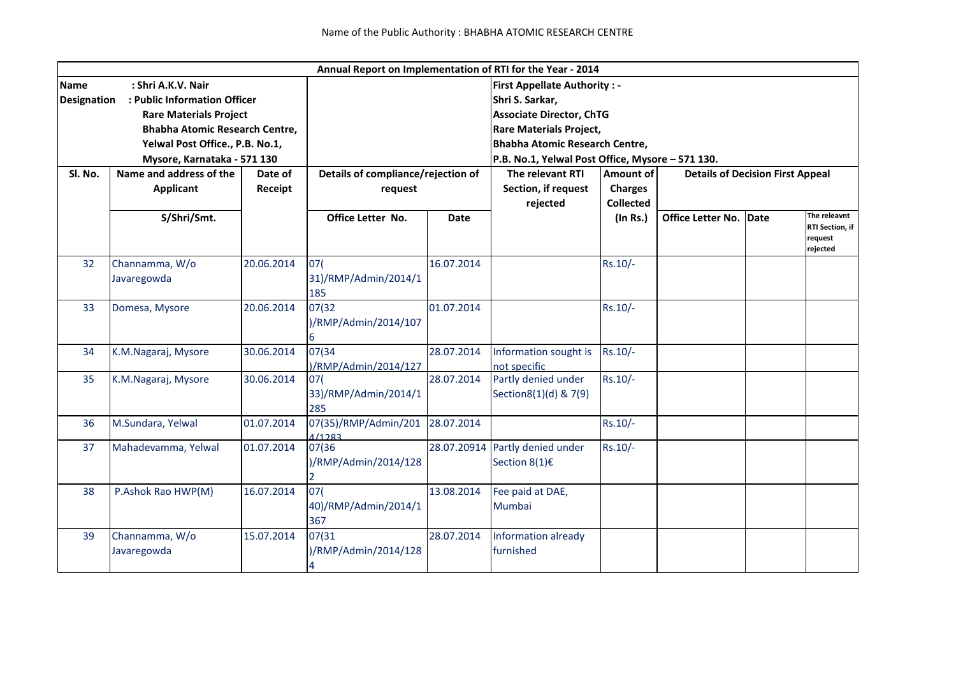|                    |                                       |            |                                                                         |                                                  | Annual Report on Implementation of RTI for the Year - 2014 |                                                      |                          |      |                            |  |
|--------------------|---------------------------------------|------------|-------------------------------------------------------------------------|--------------------------------------------------|------------------------------------------------------------|------------------------------------------------------|--------------------------|------|----------------------------|--|
| <b>Name</b>        | : Shri A.K.V. Nair                    |            |                                                                         |                                                  | <b>First Appellate Authority: -</b>                        |                                                      |                          |      |                            |  |
| <b>Designation</b> | : Public Information Officer          |            | Shri S. Sarkar,                                                         |                                                  |                                                            |                                                      |                          |      |                            |  |
|                    | <b>Rare Materials Project</b>         |            |                                                                         |                                                  | <b>Associate Director, ChTG</b>                            |                                                      |                          |      |                            |  |
|                    | <b>Bhabha Atomic Research Centre,</b> |            |                                                                         |                                                  |                                                            |                                                      |                          |      |                            |  |
|                    | Yelwal Post Office., P.B. No.1,       |            | <b>Rare Materials Project,</b><br><b>Bhabha Atomic Research Centre,</b> |                                                  |                                                            |                                                      |                          |      |                            |  |
|                    | Mysore, Karnataka - 571 130           |            |                                                                         | P.B. No.1, Yelwal Post Office, Mysore - 571 130. |                                                            |                                                      |                          |      |                            |  |
| Sl. No.            | Name and address of the<br>Date of    |            |                                                                         | Details of compliance/rejection of               |                                                            | Amount of<br><b>Details of Decision First Appeal</b> |                          |      |                            |  |
|                    | <b>Applicant</b>                      | Receipt    | request                                                                 |                                                  | Section, if request                                        | <b>Charges</b>                                       |                          |      |                            |  |
|                    |                                       |            |                                                                         |                                                  | rejected                                                   | <b>Collected</b>                                     |                          |      |                            |  |
|                    | S/Shri/Smt.                           |            | Office Letter No.                                                       | <b>Date</b>                                      |                                                            | $($ In Rs. $)$                                       | <b>Office Letter No.</b> | Date | The releavnt               |  |
|                    |                                       |            |                                                                         |                                                  |                                                            |                                                      |                          |      | RTI Section, if<br>request |  |
|                    |                                       |            |                                                                         |                                                  |                                                            |                                                      |                          |      | rejected                   |  |
| 32                 | Channamma, W/o                        | 20.06.2014 | 07(                                                                     | 16.07.2014                                       |                                                            | $Rs.10/-$                                            |                          |      |                            |  |
|                    | Javaregowda                           |            | 31)/RMP/Admin/2014/1                                                    |                                                  |                                                            |                                                      |                          |      |                            |  |
|                    |                                       |            | 185                                                                     |                                                  |                                                            |                                                      |                          |      |                            |  |
| 33                 | Domesa, Mysore                        | 20.06.2014 | 07(32)                                                                  | 01.07.2014                                       |                                                            | $Rs.10/-$                                            |                          |      |                            |  |
|                    |                                       |            | )/RMP/Admin/2014/107                                                    |                                                  |                                                            |                                                      |                          |      |                            |  |
|                    |                                       |            | 6                                                                       |                                                  |                                                            |                                                      |                          |      |                            |  |
| 34                 | K.M.Nagaraj, Mysore                   | 30.06.2014 | 07(34                                                                   | 28.07.2014                                       | Information sought is                                      | $Rs.10/-$                                            |                          |      |                            |  |
|                    |                                       |            | )/RMP/Admin/2014/127                                                    |                                                  | not specific                                               |                                                      |                          |      |                            |  |
| 35                 | K.M.Nagaraj, Mysore                   | 30.06.2014 | 07(                                                                     | 28.07.2014                                       | Partly denied under                                        | $Rs.10/-$                                            |                          |      |                            |  |
|                    |                                       |            | 33)/RMP/Admin/2014/1                                                    |                                                  | Section8(1)(d) & 7(9)                                      |                                                      |                          |      |                            |  |
|                    |                                       |            | 285                                                                     |                                                  |                                                            |                                                      |                          |      |                            |  |
| 36                 | M.Sundara, Yelwal                     | 01.07.2014 | 07(35)/RMP/Admin/201                                                    | 28.07.2014                                       |                                                            | Rs.10/-                                              |                          |      |                            |  |
| 37                 | Mahadevamma, Yelwal                   | 01.07.2014 | 1/1283<br>07(36                                                         | 28.07.20914                                      | Partly denied under                                        | $Rs.10/-$                                            |                          |      |                            |  |
|                    |                                       |            | )/RMP/Admin/2014/128                                                    |                                                  | Section $8(1)\epsilon$                                     |                                                      |                          |      |                            |  |
|                    |                                       |            |                                                                         |                                                  |                                                            |                                                      |                          |      |                            |  |
| 38                 | P.Ashok Rao HWP(M)                    | 16.07.2014 | 07(                                                                     | 13.08.2014                                       | Fee paid at DAE,                                           |                                                      |                          |      |                            |  |
|                    |                                       |            | 40)/RMP/Admin/2014/1                                                    |                                                  | Mumbai                                                     |                                                      |                          |      |                            |  |
|                    |                                       |            | 367                                                                     |                                                  |                                                            |                                                      |                          |      |                            |  |
| 39                 | Channamma, W/o                        | 15.07.2014 | 07(31                                                                   | 28.07.2014                                       | Information already                                        |                                                      |                          |      |                            |  |
|                    | Javaregowda                           |            | )/RMP/Admin/2014/128                                                    |                                                  | furnished                                                  |                                                      |                          |      |                            |  |
|                    |                                       |            |                                                                         |                                                  |                                                            |                                                      |                          |      |                            |  |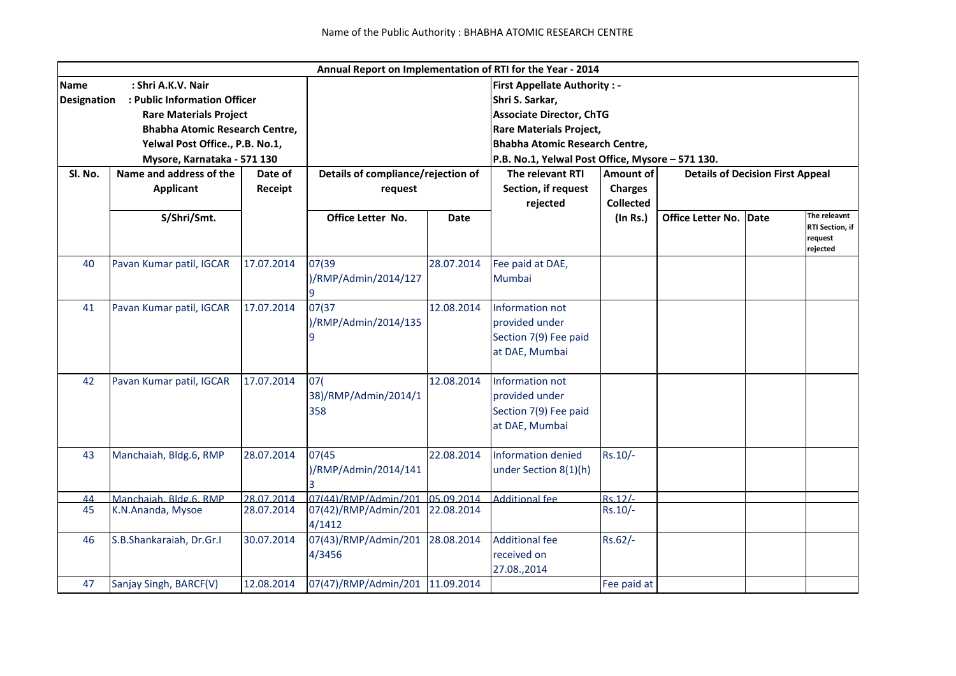|                                                                                                                                                                                                                                     |                                             |                    |                                               |             | Annual Report on Implementation of RTI for the Year - 2014                                                                                                                                                               |                                                        |                                         |      |                                                               |
|-------------------------------------------------------------------------------------------------------------------------------------------------------------------------------------------------------------------------------------|---------------------------------------------|--------------------|-----------------------------------------------|-------------|--------------------------------------------------------------------------------------------------------------------------------------------------------------------------------------------------------------------------|--------------------------------------------------------|-----------------------------------------|------|---------------------------------------------------------------|
| : Shri A.K.V. Nair<br><b>Name</b><br><b>Designation</b><br>: Public Information Officer<br><b>Rare Materials Project</b><br><b>Bhabha Atomic Research Centre,</b><br>Yelwal Post Office., P.B. No.1,<br>Mysore, Karnataka - 571 130 |                                             |                    |                                               |             | <b>First Appellate Authority: -</b><br>Shri S. Sarkar,<br><b>Associate Director, ChTG</b><br><b>Rare Materials Project,</b><br><b>Bhabha Atomic Research Centre,</b><br>P.B. No.1, Yelwal Post Office, Mysore - 571 130. |                                                        |                                         |      |                                                               |
| Sl. No.                                                                                                                                                                                                                             | Name and address of the<br><b>Applicant</b> | Date of<br>Receipt | Details of compliance/rejection of<br>request |             | The relevant RTI<br>Section, if request<br>rejected                                                                                                                                                                      | <b>Amount of</b><br><b>Charges</b><br><b>Collected</b> | <b>Details of Decision First Appeal</b> |      |                                                               |
|                                                                                                                                                                                                                                     | S/Shri/Smt.                                 |                    | Office Letter No.                             | <b>Date</b> |                                                                                                                                                                                                                          | (In Rs.)                                               | Office Letter No.                       | Date | The releavnt<br><b>RTI Section, if</b><br>request<br>rejected |
| 40                                                                                                                                                                                                                                  | Pavan Kumar patil, IGCAR                    | 17.07.2014         | 07(39<br>)/RMP/Admin/2014/127                 | 28.07.2014  | Fee paid at DAE,<br>Mumbai                                                                                                                                                                                               |                                                        |                                         |      |                                                               |
| 41                                                                                                                                                                                                                                  | Pavan Kumar patil, IGCAR                    | 17.07.2014         | 07(37<br>)/RMP/Admin/2014/135<br>9            | 12.08.2014  | Information not<br>provided under<br>Section 7(9) Fee paid<br>at DAE, Mumbai                                                                                                                                             |                                                        |                                         |      |                                                               |
| 42                                                                                                                                                                                                                                  | Pavan Kumar patil, IGCAR                    | 17.07.2014         | 07(<br>38)/RMP/Admin/2014/1<br>358            | 12.08.2014  | Information not<br>provided under<br>Section 7(9) Fee paid<br>at DAE, Mumbai                                                                                                                                             |                                                        |                                         |      |                                                               |
| 43                                                                                                                                                                                                                                  | Manchaiah, Bldg.6, RMP                      | 28.07.2014         | 07(45)<br>)/RMP/Admin/2014/141                | 22.08.2014  | <b>Information denied</b><br>under Section 8(1)(h)                                                                                                                                                                       | Rs.10/-                                                |                                         |      |                                                               |
| 44                                                                                                                                                                                                                                  | Manchaiah, Bldg.6, RMP                      | 28.07.2014         | 07(44)/RMP/Admin/201                          | 05.09.2014  | <b>Additional fee</b>                                                                                                                                                                                                    | $Rs.12/-$                                              |                                         |      |                                                               |
| 45                                                                                                                                                                                                                                  | K.N.Ananda, Mysoe                           | 28.07.2014         | 07(42)/RMP/Admin/201<br>4/1412                | 22.08.2014  |                                                                                                                                                                                                                          | $Rs.10/-$                                              |                                         |      |                                                               |
| 46                                                                                                                                                                                                                                  | S.B.Shankaraiah, Dr.Gr.I                    | 30.07.2014         | 07(43)/RMP/Admin/201<br>4/3456                | 28.08.2014  | <b>Additional fee</b><br>received on<br>27.08.,2014                                                                                                                                                                      | Rs.62/-                                                |                                         |      |                                                               |
| 47                                                                                                                                                                                                                                  | Sanjay Singh, BARCF(V)                      | 12.08.2014         | 07(47)/RMP/Admin/201                          | 11.09.2014  |                                                                                                                                                                                                                          | Fee paid at                                            |                                         |      |                                                               |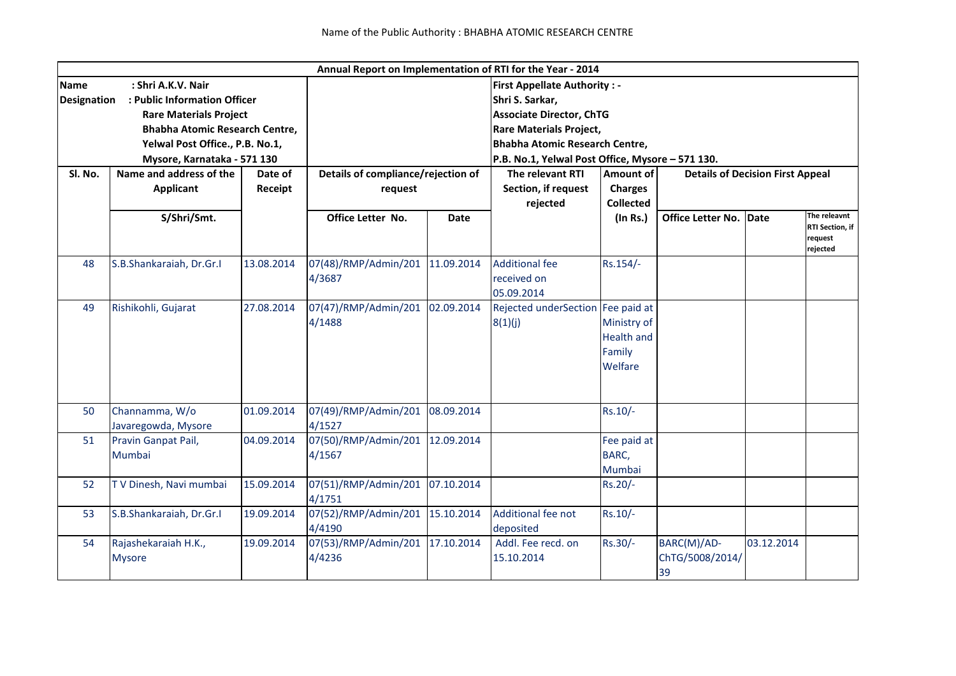|                    |                                       |            |                                                  |                                    | Annual Report on Implementation of RTI for the Year - 2014 |                                      |                                      |                                         |                                                        |  |
|--------------------|---------------------------------------|------------|--------------------------------------------------|------------------------------------|------------------------------------------------------------|--------------------------------------|--------------------------------------|-----------------------------------------|--------------------------------------------------------|--|
| <b>Name</b>        | : Shri A.K.V. Nair                    |            |                                                  |                                    | <b>First Appellate Authority: -</b>                        |                                      |                                      |                                         |                                                        |  |
| <b>Designation</b> | : Public Information Officer          |            |                                                  |                                    | Shri S. Sarkar,                                            |                                      |                                      |                                         |                                                        |  |
|                    | <b>Rare Materials Project</b>         |            |                                                  |                                    | <b>Associate Director, ChTG</b>                            |                                      |                                      |                                         |                                                        |  |
|                    | <b>Bhabha Atomic Research Centre,</b> |            |                                                  |                                    |                                                            | <b>Rare Materials Project,</b>       |                                      |                                         |                                                        |  |
|                    | Yelwal Post Office., P.B. No.1,       |            |                                                  |                                    | <b>Bhabha Atomic Research Centre,</b>                      |                                      |                                      |                                         |                                                        |  |
|                    | Mysore, Karnataka - 571 130           |            | P.B. No.1, Yelwal Post Office, Mysore - 571 130. |                                    |                                                            |                                      |                                      |                                         |                                                        |  |
| Sl. No.            | Name and address of the<br>Date of    |            |                                                  | Details of compliance/rejection of |                                                            | The relevant RTI<br><b>Amount of</b> |                                      | <b>Details of Decision First Appeal</b> |                                                        |  |
|                    | <b>Applicant</b>                      | Receipt    | request                                          |                                    | Section, if request                                        | <b>Charges</b>                       |                                      |                                         |                                                        |  |
|                    |                                       |            |                                                  |                                    | rejected                                                   | <b>Collected</b>                     |                                      |                                         |                                                        |  |
|                    | S/Shri/Smt.                           |            | Office Letter No.                                | <b>Date</b>                        |                                                            | (In Rs.)                             | Office Letter No.                    | Date                                    | The releavnt<br>RTI Section, if<br>request<br>rejected |  |
| 48                 | S.B.Shankaraiah, Dr.Gr.I              | 13.08.2014 | 07(48)/RMP/Admin/201                             | 11.09.2014                         | <b>Additional fee</b>                                      | Rs.154/-                             |                                      |                                         |                                                        |  |
|                    |                                       |            | 4/3687                                           |                                    | received on                                                |                                      |                                      |                                         |                                                        |  |
|                    |                                       |            |                                                  |                                    | 05.09.2014                                                 |                                      |                                      |                                         |                                                        |  |
| 49                 | Rishikohli, Gujarat                   | 27.08.2014 | 07(47)/RMP/Admin/201                             | 02.09.2014                         | Rejected underSection Fee paid at                          |                                      |                                      |                                         |                                                        |  |
|                    |                                       |            | 4/1488                                           |                                    | 8(1)(j)                                                    | Ministry of                          |                                      |                                         |                                                        |  |
|                    |                                       |            |                                                  |                                    |                                                            | <b>Health and</b>                    |                                      |                                         |                                                        |  |
|                    |                                       |            |                                                  |                                    |                                                            | Family                               |                                      |                                         |                                                        |  |
|                    |                                       |            |                                                  |                                    |                                                            | Welfare                              |                                      |                                         |                                                        |  |
|                    |                                       |            |                                                  |                                    |                                                            |                                      |                                      |                                         |                                                        |  |
| 50                 | Channamma, W/o<br>Javaregowda, Mysore | 01.09.2014 | 07(49)/RMP/Admin/201<br>4/1527                   | 08.09.2014                         |                                                            | $Rs.10/-$                            |                                      |                                         |                                                        |  |
| 51                 | Pravin Ganpat Pail,                   | 04.09.2014 | 07(50)/RMP/Admin/201                             | 12.09.2014                         |                                                            | Fee paid at                          |                                      |                                         |                                                        |  |
|                    | Mumbai                                |            | 4/1567                                           |                                    |                                                            | BARC,                                |                                      |                                         |                                                        |  |
|                    |                                       |            |                                                  |                                    |                                                            | Mumbai                               |                                      |                                         |                                                        |  |
| 52                 | TV Dinesh, Navi mumbai                | 15.09.2014 | 07(51)/RMP/Admin/201                             | 07.10.2014                         |                                                            | Rs.20/-                              |                                      |                                         |                                                        |  |
|                    |                                       |            | 4/1751                                           |                                    |                                                            |                                      |                                      |                                         |                                                        |  |
| 53                 | S.B.Shankaraiah, Dr.Gr.I              | 19.09.2014 | 07(52)/RMP/Admin/201                             | 15.10.2014                         | Additional fee not                                         | $Rs.10/-$                            |                                      |                                         |                                                        |  |
|                    |                                       |            | 4/4190                                           |                                    | deposited                                                  |                                      |                                      |                                         |                                                        |  |
| 54                 | Rajashekaraiah H.K.,<br><b>Mysore</b> | 19.09.2014 | 07(53)/RMP/Admin/201<br>4/4236                   | 17.10.2014                         | Addl. Fee recd. on<br>15.10.2014                           | Rs.30/-                              | BARC(M)/AD-<br>ChTG/5008/2014/<br>39 | 03.12.2014                              |                                                        |  |